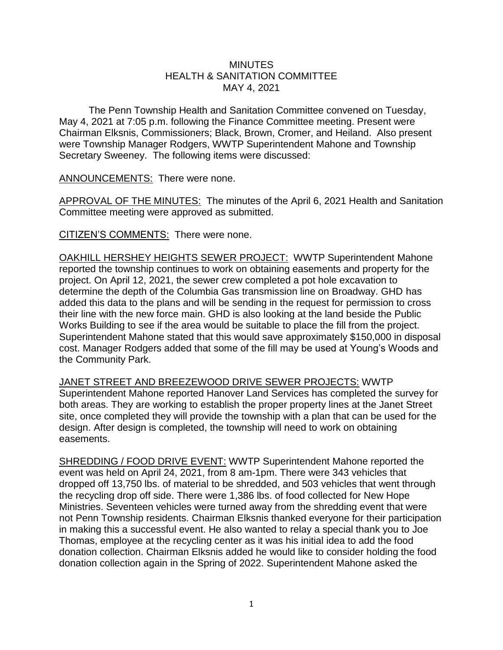## **MINUTES** HEALTH & SANITATION COMMITTEE MAY 4, 2021

The Penn Township Health and Sanitation Committee convened on Tuesday, May 4, 2021 at 7:05 p.m. following the Finance Committee meeting. Present were Chairman Elksnis, Commissioners; Black, Brown, Cromer, and Heiland. Also present were Township Manager Rodgers, WWTP Superintendent Mahone and Township Secretary Sweeney. The following items were discussed:

ANNOUNCEMENTS: There were none.

APPROVAL OF THE MINUTES: The minutes of the April 6, 2021 Health and Sanitation Committee meeting were approved as submitted.

CITIZEN'S COMMENTS: There were none.

OAKHILL HERSHEY HEIGHTS SEWER PROJECT: WWTP Superintendent Mahone reported the township continues to work on obtaining easements and property for the project. On April 12, 2021, the sewer crew completed a pot hole excavation to determine the depth of the Columbia Gas transmission line on Broadway. GHD has added this data to the plans and will be sending in the request for permission to cross their line with the new force main. GHD is also looking at the land beside the Public Works Building to see if the area would be suitable to place the fill from the project. Superintendent Mahone stated that this would save approximately \$150,000 in disposal cost. Manager Rodgers added that some of the fill may be used at Young's Woods and the Community Park.

JANET STREET AND BREEZEWOOD DRIVE SEWER PROJECTS: WWTP Superintendent Mahone reported Hanover Land Services has completed the survey for both areas. They are working to establish the proper property lines at the Janet Street site, once completed they will provide the township with a plan that can be used for the design. After design is completed, the township will need to work on obtaining easements.

SHREDDING / FOOD DRIVE EVENT: WWTP Superintendent Mahone reported the event was held on April 24, 2021, from 8 am-1pm. There were 343 vehicles that dropped off 13,750 lbs. of material to be shredded, and 503 vehicles that went through the recycling drop off side. There were 1,386 lbs. of food collected for New Hope Ministries. Seventeen vehicles were turned away from the shredding event that were not Penn Township residents. Chairman Elksnis thanked everyone for their participation in making this a successful event. He also wanted to relay a special thank you to Joe Thomas, employee at the recycling center as it was his initial idea to add the food donation collection. Chairman Elksnis added he would like to consider holding the food donation collection again in the Spring of 2022. Superintendent Mahone asked the